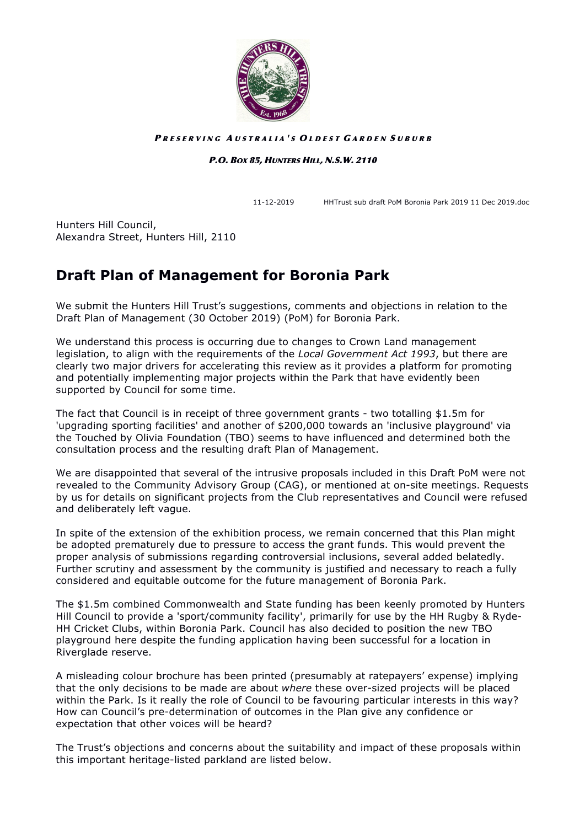

#### PRESERVING AUSTRALIA'S OLDEST GARDEN SUBURB

#### P.O. BOX 85, HUNTERS HILL, N.S.W. 2110

11-12-2019 HHTrust sub draft PoM Boronia Park 2019 11 Dec 2019.doc

Hunters Hill Council, Alexandra Street, Hunters Hill, 2110

## **Draft Plan of Management for Boronia Park**

We submit the Hunters Hill Trust's suggestions, comments and objections in relation to the Draft Plan of Management (30 October 2019) (PoM) for Boronia Park.

We understand this process is occurring due to changes to Crown Land management legislation, to align with the requirements of the *Local Government Act 1993*, but there are clearly two major drivers for accelerating this review as it provides a platform for promoting and potentially implementing major projects within the Park that have evidently been supported by Council for some time.

The fact that Council is in receipt of three government grants - two totalling \$1.5m for 'upgrading sporting facilities' and another of \$200,000 towards an 'inclusive playground' via the Touched by Olivia Foundation (TBO) seems to have influenced and determined both the consultation process and the resulting draft Plan of Management.

We are disappointed that several of the intrusive proposals included in this Draft PoM were not revealed to the Community Advisory Group (CAG), or mentioned at on-site meetings. Requests by us for details on significant projects from the Club representatives and Council were refused and deliberately left vague.

In spite of the extension of the exhibition process, we remain concerned that this Plan might be adopted prematurely due to pressure to access the grant funds. This would prevent the proper analysis of submissions regarding controversial inclusions, several added belatedly. Further scrutiny and assessment by the community is justified and necessary to reach a fully considered and equitable outcome for the future management of Boronia Park.

The \$1.5m combined Commonwealth and State funding has been keenly promoted by Hunters Hill Council to provide a 'sport/community facility', primarily for use by the HH Rugby & Ryde-HH Cricket Clubs, within Boronia Park. Council has also decided to position the new TBO playground here despite the funding application having been successful for a location in Riverglade reserve.

A misleading colour brochure has been printed (presumably at ratepayers' expense) implying that the only decisions to be made are about *where* these over-sized projects will be placed within the Park. Is it really the role of Council to be favouring particular interests in this way? How can Council's pre-determination of outcomes in the Plan give any confidence or expectation that other voices will be heard?

The Trust's objections and concerns about the suitability and impact of these proposals within this important heritage-listed parkland are listed below.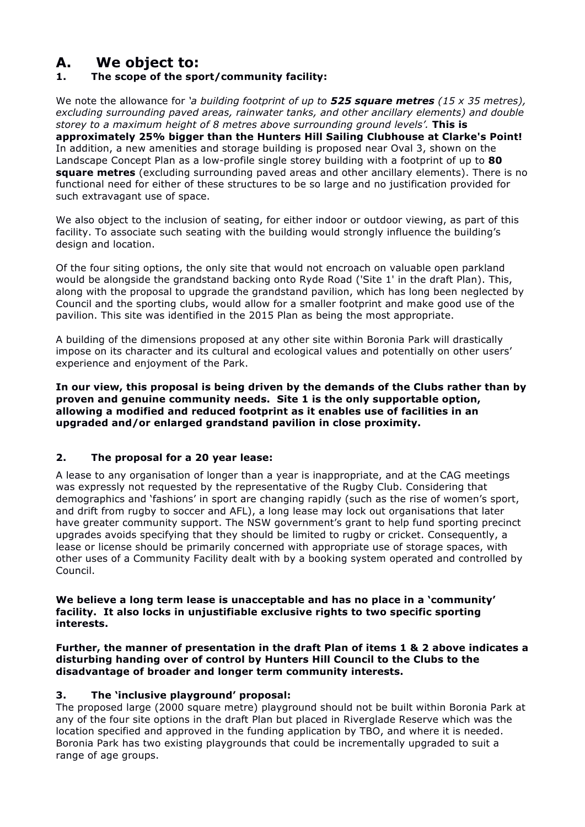## **A. We object to:**

### **1. The scope of the sport/community facility:**

We note the allowance for *'a building footprint of up to 525 square metres (15 x 35 metres), excluding surrounding paved areas, rainwater tanks, and other ancillary elements) and double storey to a maximum height of 8 metres above surrounding ground levels'.* **This is approximately 25% bigger than the Hunters Hill Sailing Clubhouse at Clarke's Point!**  In addition, a new amenities and storage building is proposed near Oval 3, shown on the Landscape Concept Plan as a low-profile single storey building with a footprint of up to **80 square metres** (excluding surrounding paved areas and other ancillary elements). There is no functional need for either of these structures to be so large and no justification provided for such extravagant use of space.

We also object to the inclusion of seating, for either indoor or outdoor viewing, as part of this facility. To associate such seating with the building would strongly influence the building's design and location.

Of the four siting options, the only site that would not encroach on valuable open parkland would be alongside the grandstand backing onto Ryde Road ('Site 1' in the draft Plan). This, along with the proposal to upgrade the grandstand pavilion, which has long been neglected by Council and the sporting clubs, would allow for a smaller footprint and make good use of the pavilion. This site was identified in the 2015 Plan as being the most appropriate.

A building of the dimensions proposed at any other site within Boronia Park will drastically impose on its character and its cultural and ecological values and potentially on other users' experience and enjoyment of the Park.

**In our view, this proposal is being driven by the demands of the Clubs rather than by proven and genuine community needs. Site 1 is the only supportable option, allowing a modified and reduced footprint as it enables use of facilities in an upgraded and/or enlarged grandstand pavilion in close proximity.** 

#### **2. The proposal for a 20 year lease:**

A lease to any organisation of longer than a year is inappropriate, and at the CAG meetings was expressly not requested by the representative of the Rugby Club. Considering that demographics and 'fashions' in sport are changing rapidly (such as the rise of women's sport, and drift from rugby to soccer and AFL), a long lease may lock out organisations that later have greater community support. The NSW government's grant to help fund sporting precinct upgrades avoids specifying that they should be limited to rugby or cricket. Consequently, a lease or license should be primarily concerned with appropriate use of storage spaces, with other uses of a Community Facility dealt with by a booking system operated and controlled by Council.

**We believe a long term lease is unacceptable and has no place in a 'community' facility. It also locks in unjustifiable exclusive rights to two specific sporting interests.** 

**Further, the manner of presentation in the draft Plan of items 1 & 2 above indicates a disturbing handing over of control by Hunters Hill Council to the Clubs to the disadvantage of broader and longer term community interests.**

#### **3. The 'inclusive playground' proposal:**

The proposed large (2000 square metre) playground should not be built within Boronia Park at any of the four site options in the draft Plan but placed in Riverglade Reserve which was the location specified and approved in the funding application by TBO, and where it is needed. Boronia Park has two existing playgrounds that could be incrementally upgraded to suit a range of age groups.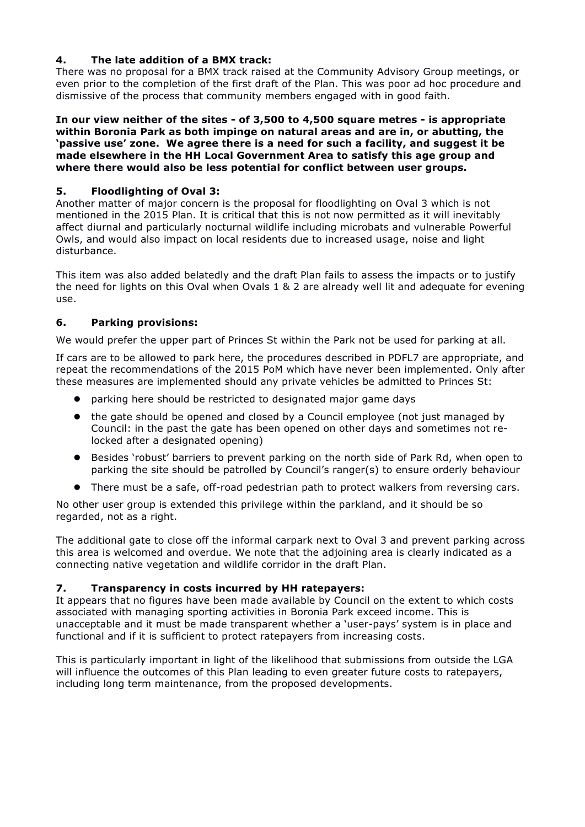#### **4. The late addition of a BMX track:**

There was no proposal for a BMX track raised at the Community Advisory Group meetings, or even prior to the completion of the first draft of the Plan. This was poor ad hoc procedure and dismissive of the process that community members engaged with in good faith.

**In our view neither of the sites - of 3,500 to 4,500 square metres - is appropriate within Boronia Park as both impinge on natural areas and are in, or abutting, the 'passive use' zone. We agree there is a need for such a facility, and suggest it be made elsewhere in the HH Local Government Area to satisfy this age group and where there would also be less potential for conflict between user groups.** 

#### **5. Floodlighting of Oval 3:**

Another matter of major concern is the proposal for floodlighting on Oval 3 which is not mentioned in the 2015 Plan. It is critical that this is not now permitted as it will inevitably affect diurnal and particularly nocturnal wildlife including microbats and vulnerable Powerful Owls, and would also impact on local residents due to increased usage, noise and light disturbance.

This item was also added belatedly and the draft Plan fails to assess the impacts or to justify the need for lights on this Oval when Ovals 1 & 2 are already well lit and adequate for evening use.

#### **6. Parking provisions:**

We would prefer the upper part of Princes St within the Park not be used for parking at all.

If cars are to be allowed to park here, the procedures described in PDFL7 are appropriate, and repeat the recommendations of the 2015 PoM which have never been implemented. Only after these measures are implemented should any private vehicles be admitted to Princes St:

- ! parking here should be restricted to designated major game days
- the gate should be opened and closed by a Council employee (not just managed by Council: in the past the gate has been opened on other days and sometimes not relocked after a designated opening)
- ! Besides 'robust' barriers to prevent parking on the north side of Park Rd, when open to parking the site should be patrolled by Council's ranger(s) to ensure orderly behaviour
- ! There must be a safe, off-road pedestrian path to protect walkers from reversing cars.

No other user group is extended this privilege within the parkland, and it should be so regarded, not as a right.

The additional gate to close off the informal carpark next to Oval 3 and prevent parking across this area is welcomed and overdue. We note that the adjoining area is clearly indicated as a connecting native vegetation and wildlife corridor in the draft Plan.

#### **7. Transparency in costs incurred by HH ratepayers:**

It appears that no figures have been made available by Council on the extent to which costs associated with managing sporting activities in Boronia Park exceed income. This is unacceptable and it must be made transparent whether a 'user-pays' system is in place and functional and if it is sufficient to protect ratepayers from increasing costs.

This is particularly important in light of the likelihood that submissions from outside the LGA will influence the outcomes of this Plan leading to even greater future costs to ratepayers, including long term maintenance, from the proposed developments.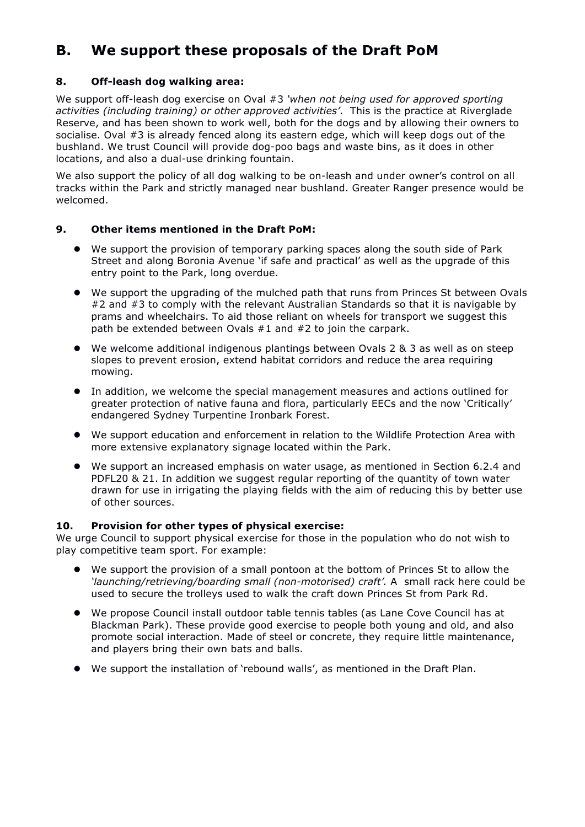# **B. We support these proposals of the Draft PoM**

### **8. Off-leash dog walking area:**

We support off-leash dog exercise on Oval #3 *'when not being used for approved sporting activities (including training) or other approved activities'*. This is the practice at Riverglade Reserve, and has been shown to work well, both for the dogs and by allowing their owners to socialise. Oval #3 is already fenced along its eastern edge, which will keep dogs out of the bushland. We trust Council will provide dog-poo bags and waste bins, as it does in other locations, and also a dual-use drinking fountain.

We also support the policy of all dog walking to be on-leash and under owner's control on all tracks within the Park and strictly managed near bushland. Greater Ranger presence would be welcomed.

#### **9. Other items mentioned in the Draft PoM:**

- ! We support the provision of temporary parking spaces along the south side of Park Street and along Boronia Avenue 'if safe and practical' as well as the upgrade of this entry point to the Park, long overdue.
- ! We support the upgrading of the mulched path that runs from Princes St between Ovals #2 and #3 to comply with the relevant Australian Standards so that it is navigable by prams and wheelchairs. To aid those reliant on wheels for transport we suggest this path be extended between Ovals #1 and #2 to join the carpark.
- ! We welcome additional indigenous plantings between Ovals 2 & 3 as well as on steep slopes to prevent erosion, extend habitat corridors and reduce the area requiring mowing.
- ! In addition, we welcome the special management measures and actions outlined for greater protection of native fauna and flora, particularly EECs and the now 'Critically' endangered Sydney Turpentine Ironbark Forest.
- ! We support education and enforcement in relation to the Wildlife Protection Area with more extensive explanatory signage located within the Park.
- ! We support an increased emphasis on water usage, as mentioned in Section 6.2.4 and PDFL20 & 21. In addition we suggest regular reporting of the quantity of town water drawn for use in irrigating the playing fields with the aim of reducing this by better use of other sources.

#### **10. Provision for other types of physical exercise:**

We urge Council to support physical exercise for those in the population who do not wish to play competitive team sport. For example:

- ! We support the provision of a small pontoon at the bottom of Princes St to allow the *'launching/retrieving/boarding small (non-motorised) craft'.* A small rack here could be used to secure the trolleys used to walk the craft down Princes St from Park Rd.
- ! We propose Council install outdoor table tennis tables (as Lane Cove Council has at Blackman Park). These provide good exercise to people both young and old, and also promote social interaction. Made of steel or concrete, they require little maintenance, and players bring their own bats and balls.
- ! We support the installation of 'rebound walls', as mentioned in the Draft Plan.